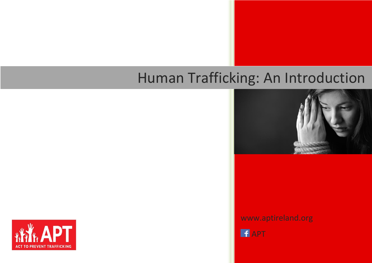# Human Trafficking: An Introduction



www.aptireland.org

**APT** 

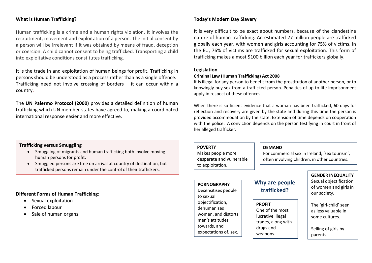#### **What is Human Trafficking?**

Human trafficking is a crime and a human rights violation. It involves the recruitment, movement and exploitation of a person. The initial consent by a person will be irrelevant if it was obtained by means of fraud, deception or coercion. A child cannot consent to being trafficked. Transporting a child into exploitative conditions constitutes trafficking.

It is the trade in and exploitation of human beings for profit. Trafficking in persons should be understood as a process rather than as a single offence. Trafficking need not involve crossing of borders – it can occur within a country.

The **UN Palermo Protocol (2000)** provides a detailed definition of human trafficking which UN member states have agreed to, making a coordinated international response easier and more effective.

#### **Today's Modern Day Slavery**

It is very difficult to be exact about numbers, because of the clandestine nature of human trafficking. An estimated 27 million people are trafficked globally each year, with women and girls accounting for 75% of victims. In the EU, 76% of victims are trafficked for sexual exploitation. This form of trafficking makes almost \$100 billion each year for traffickers globally.

#### **Legislation**

#### **Criminal Law (Human Trafficking) Act 2008**

It is illegal for any person to benefit from the prostitution of another person, or to knowingly buy sex from a trafficked person. Penalties of up to life imprisonment apply in respect of these offences.

When there is sufficient evidence that a woman has been trafficked, 60 days for reflection and recovery are given by the state and during this time the person is provided accommodation by the state. Extension of time depends on cooperation with the police. A conviction depends on the person testifying in court in front of her alleged trafficker.

#### **Trafficking versus Smuggling**

- Smuggling of migrants and human trafficking both involve moving human persons for profit.
- Smuggled persons are free on arrival at country of destination, but trafficked persons remain under the control of their traffickers.

#### **Different Forms of Human Trafficking**:

- Sexual exploitation
- Forced labour
- Sale of human organs

#### **POVERTY**

Makes people more desperate and vulnerable to exploitation.

#### **DEMAND**

For commercial sex in Ireland; 'sex tourism', often involving children, in other countries.

# **PORNOGRAPHY**

Desensitises people to sexual objectification, dehumanises women, and distorts men's attitudes towards, and expectations of, sex.

## **Why are people trafficked?**

#### **PROFIT**

One of the most lucrative illegal trades, along with drugs and weapons.

**GENDER INEQUALITY** Sexual objectification of women and girls in our society.

The 'girl-child' seen as less valuable in some cultures.

Selling of girls by parents.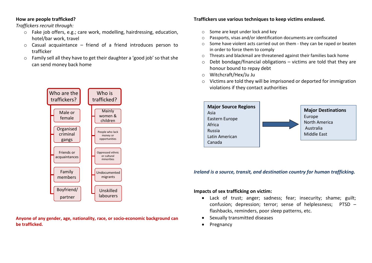#### **How are people trafficked?**

*Traffickers recruit through:*

- o Fake job offers, e.g.; care work, modelling, hairdressing, education, hotel/bar work, travel
- $\circ$  Casual acquaintance friend of a friend introduces person to trafficker
- o Family sell all they have to get their daughter a 'good job' so that she can send money back home



**Anyone of any gender, age, nationality, race, or socio-economic background can be trafficked.**

#### **Traffickers use various techniques to keep victims enslaved.**

- o Some are kept under lock and key
- o Passports, visas and/or identification documents are confiscated
- o Some have violent acts carried out on them they can be raped or beaten in order to force them to comply
- o Threats and blackmail are threatened against their families back home
- $\circ$  Debt bondage/financial obligations victims are told that they are honour bound to repay debt
- o Witchcraft/Hex/Ju Ju
- o Victims are told they will be imprisoned or deported for immigration violations if they contact authorities



*Ireland is a source, transit, and destination country for human trafficking.*

#### **Impacts of sex trafficking on victim:**

- Lack of trust; anger; sadness; fear; insecurity; shame; guilt; confusion; depression; terror; sense of helplessness; PTSD – flashbacks, reminders, poor sleep patterns, etc.
- Sexually transmitted diseases
- Pregnancy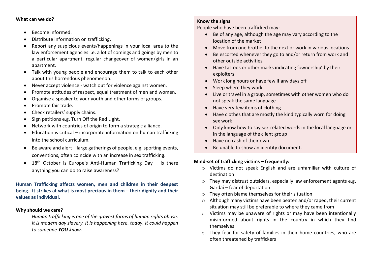#### **What can we do?**

- Become informed.
- Distribute information on trafficking.
- Report any suspicious events/happenings in your local area to the law enforcement agencies i.e. a lot of comings and goings by men to a particular apartment, regular changeover of women/girls in an apartment.
- Talk with young people and encourage them to talk to each other about this horrendous phenomenon.
- Never accept violence watch out for violence against women.
- Promote attitudes of respect, equal treatment of men and women.
- Organise a speaker to your youth and other forms of groups.
- Promote fair trade.
- Check retailers' supply chains.
- Sign petitions e.g. Turn Off the Red Light.
- Network with countries of origin to form a strategic alliance.
- Education is critical incorporate information on human trafficking into the school curriculum.
- $\bullet$  Be aware and alert large gatherings of people, e.g. sporting events, conventions, often coincide with an increase in sex trafficking.
- $18<sup>th</sup>$  October is Europe's Anti-Human Trafficking Day is there anything you can do to raise awareness?

#### **Human Trafficking affects women, men and children in their deepest being. It strikes at what is most precious in them – their dignity and their values as individual.**

#### **Why should we care?**

*Human trafficking is one of the gravest forms of human rights abuse. It is modern day slavery. It is happening here, today. It could happen to someone YOU know.*

#### **Know the signs**

People who have been trafficked may:

- Be of any age, although the age may vary according to the location of the market
- Move from one brothel to the next or work in various locations
- Be escorted whenever they go to and/or return from work and other outside activities
- Have tattoos or other marks indicating 'ownership' by their exploiters
- Work long hours or have few if any days off
- Sleep where they work
- Live or travel in a group, sometimes with other women who do not speak the same language
- Have very few items of clothing
- Have clothes that are mostly the kind typically worn for doing sex work
- Only know how to say sex-related words in the local language or in the language of the client group
- Have no cash of their own
- Be unable to show an identity document.

#### **Mind-set of trafficking victims – frequently:**

- o Victims do not speak English and are unfamiliar with culture of destination
- o They may distrust outsiders, especially law enforcement agents e.g. Gardaí – fear of deportation
- o They often blame themselves for their situation
- o Although many victims have been beaten and/or raped, their current situation may still be preferable to where they came from
- o Victims may be unaware of rights or may have been intentionally misinformed about rights in the country in which they find themselves
- o They fear for safety of families in their home countries, who are often threatened by traffickers